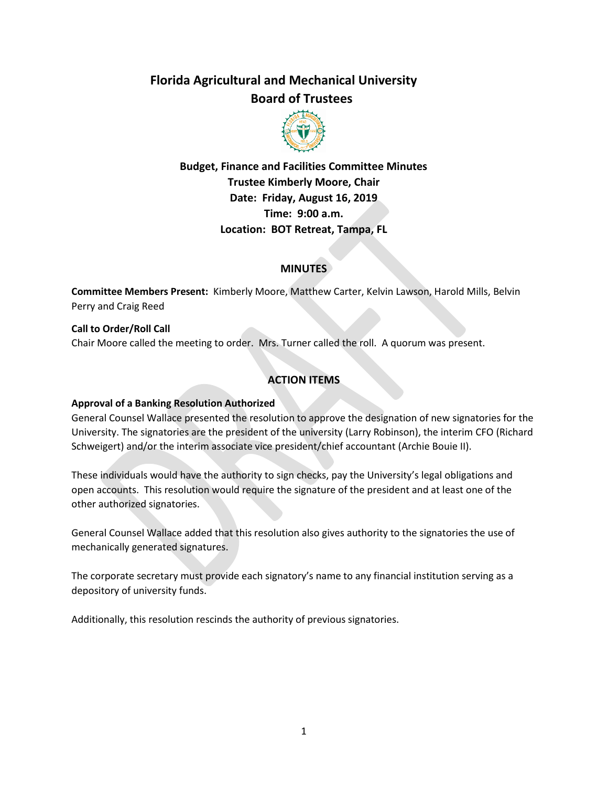# **Florida Agricultural and Mechanical University Board of Trustees**



**Budget, Finance and Facilities Committee Minutes Trustee Kimberly Moore, Chair Date: Friday, August 16, 2019 Time: 9:00 a.m. Location: BOT Retreat, Tampa, FL**

#### **MINUTES**

**Committee Members Present:** Kimberly Moore, Matthew Carter, Kelvin Lawson, Harold Mills, Belvin Perry and Craig Reed

**Call to Order/Roll Call** Chair Moore called the meeting to order. Mrs. Turner called the roll. A quorum was present.

# **ACTION ITEMS**

#### **Approval of a Banking Resolution Authorized**

General Counsel Wallace presented the resolution to approve the designation of new signatories for the University. The signatories are the president of the university (Larry Robinson), the interim CFO (Richard Schweigert) and/or the interim associate vice president/chief accountant (Archie Bouie II).

These individuals would have the authority to sign checks, pay the University's legal obligations and open accounts. This resolution would require the signature of the president and at least one of the other authorized signatories.

General Counsel Wallace added that this resolution also gives authority to the signatories the use of mechanically generated signatures.

The corporate secretary must provide each signatory's name to any financial institution serving as a depository of university funds.

Additionally, this resolution rescinds the authority of previous signatories.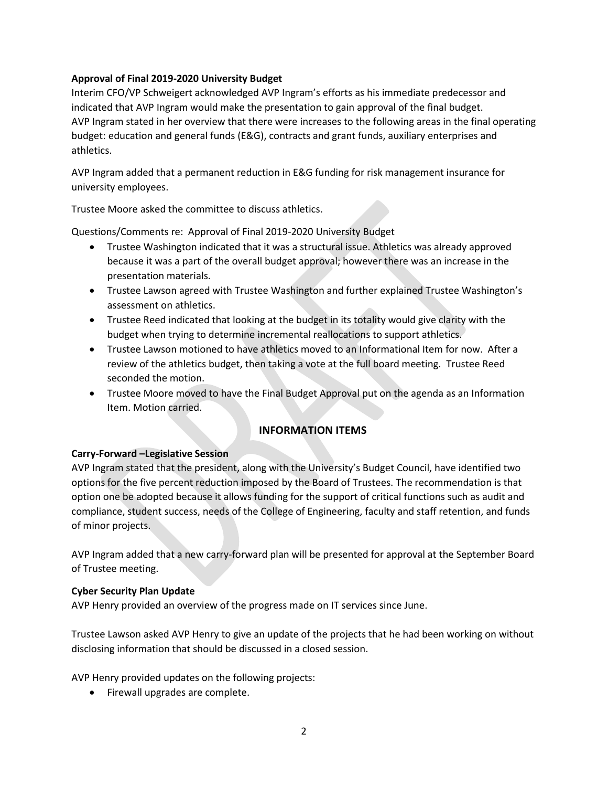#### **Approval of Final 2019-2020 University Budget**

Interim CFO/VP Schweigert acknowledged AVP Ingram's efforts as his immediate predecessor and indicated that AVP Ingram would make the presentation to gain approval of the final budget. AVP Ingram stated in her overview that there were increases to the following areas in the final operating budget: education and general funds (E&G), contracts and grant funds, auxiliary enterprises and athletics.

AVP Ingram added that a permanent reduction in E&G funding for risk management insurance for university employees.

Trustee Moore asked the committee to discuss athletics.

Questions/Comments re: Approval of Final 2019-2020 University Budget

- Trustee Washington indicated that it was a structural issue. Athletics was already approved because it was a part of the overall budget approval; however there was an increase in the presentation materials.
- Trustee Lawson agreed with Trustee Washington and further explained Trustee Washington's assessment on athletics.
- Trustee Reed indicated that looking at the budget in its totality would give clarity with the budget when trying to determine incremental reallocations to support athletics.
- Trustee Lawson motioned to have athletics moved to an Informational Item for now. After a review of the athletics budget, then taking a vote at the full board meeting. Trustee Reed seconded the motion.
- Trustee Moore moved to have the Final Budget Approval put on the agenda as an Information Item. Motion carried.

## **INFORMATION ITEMS**

## **Carry-Forward –Legislative Session**

AVP Ingram stated that the president, along with the University's Budget Council, have identified two options for the five percent reduction imposed by the Board of Trustees. The recommendation is that option one be adopted because it allows funding for the support of critical functions such as audit and compliance, student success, needs of the College of Engineering, faculty and staff retention, and funds of minor projects.

AVP Ingram added that a new carry-forward plan will be presented for approval at the September Board of Trustee meeting.

#### **Cyber Security Plan Update**

AVP Henry provided an overview of the progress made on IT services since June.

Trustee Lawson asked AVP Henry to give an update of the projects that he had been working on without disclosing information that should be discussed in a closed session.

AVP Henry provided updates on the following projects:

• Firewall upgrades are complete.